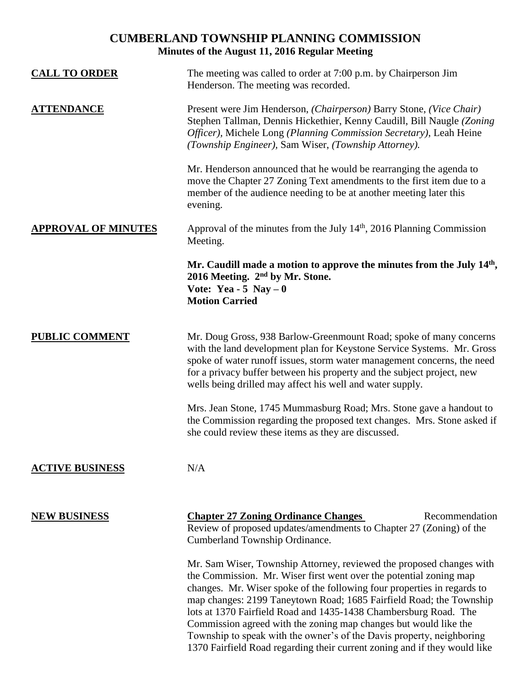# **CUMBERLAND TOWNSHIP PLANNING COMMISSION Minutes of the August 11, 2016 Regular Meeting**

| <b>CALL TO ORDER</b>       | The meeting was called to order at 7:00 p.m. by Chairperson Jim<br>Henderson. The meeting was recorded.                                                                                                                                                                                                                                                                                                                                                                                                                                                                                    |
|----------------------------|--------------------------------------------------------------------------------------------------------------------------------------------------------------------------------------------------------------------------------------------------------------------------------------------------------------------------------------------------------------------------------------------------------------------------------------------------------------------------------------------------------------------------------------------------------------------------------------------|
| <u>ATTENDANCE</u>          | Present were Jim Henderson, (Chairperson) Barry Stone, (Vice Chair)<br>Stephen Tallman, Dennis Hickethier, Kenny Caudill, Bill Naugle (Zoning<br>Officer), Michele Long (Planning Commission Secretary), Leah Heine<br>(Township Engineer), Sam Wiser, (Township Attorney).                                                                                                                                                                                                                                                                                                                |
|                            | Mr. Henderson announced that he would be rearranging the agenda to<br>move the Chapter 27 Zoning Text amendments to the first item due to a<br>member of the audience needing to be at another meeting later this<br>evening.                                                                                                                                                                                                                                                                                                                                                              |
| <b>APPROVAL OF MINUTES</b> | Approval of the minutes from the July $14th$ , 2016 Planning Commission<br>Meeting.                                                                                                                                                                                                                                                                                                                                                                                                                                                                                                        |
|                            | Mr. Caudill made a motion to approve the minutes from the July 14th,<br>2016 Meeting. 2 <sup>nd</sup> by Mr. Stone.<br>Vote: Yea - 5 Nay $-0$<br><b>Motion Carried</b>                                                                                                                                                                                                                                                                                                                                                                                                                     |
| <b>PUBLIC COMMENT</b>      | Mr. Doug Gross, 938 Barlow-Greenmount Road; spoke of many concerns<br>with the land development plan for Keystone Service Systems. Mr. Gross<br>spoke of water runoff issues, storm water management concerns, the need<br>for a privacy buffer between his property and the subject project, new<br>wells being drilled may affect his well and water supply.                                                                                                                                                                                                                             |
|                            | Mrs. Jean Stone, 1745 Mummasburg Road; Mrs. Stone gave a handout to<br>the Commission regarding the proposed text changes. Mrs. Stone asked if<br>she could review these items as they are discussed.                                                                                                                                                                                                                                                                                                                                                                                      |
| <b>ACTIVE BUSINESS</b>     | N/A                                                                                                                                                                                                                                                                                                                                                                                                                                                                                                                                                                                        |
| <b>NEW BUSINESS</b>        | <b>Chapter 27 Zoning Ordinance Changes</b><br>Recommendation<br>Review of proposed updates/amendments to Chapter 27 (Zoning) of the<br>Cumberland Township Ordinance.                                                                                                                                                                                                                                                                                                                                                                                                                      |
|                            | Mr. Sam Wiser, Township Attorney, reviewed the proposed changes with<br>the Commission. Mr. Wiser first went over the potential zoning map<br>changes. Mr. Wiser spoke of the following four properties in regards to<br>map changes: 2199 Taneytown Road; 1685 Fairfield Road; the Township<br>lots at 1370 Fairfield Road and 1435-1438 Chambersburg Road. The<br>Commission agreed with the zoning map changes but would like the<br>Township to speak with the owner's of the Davis property, neighboring<br>1370 Fairfield Road regarding their current zoning and if they would like |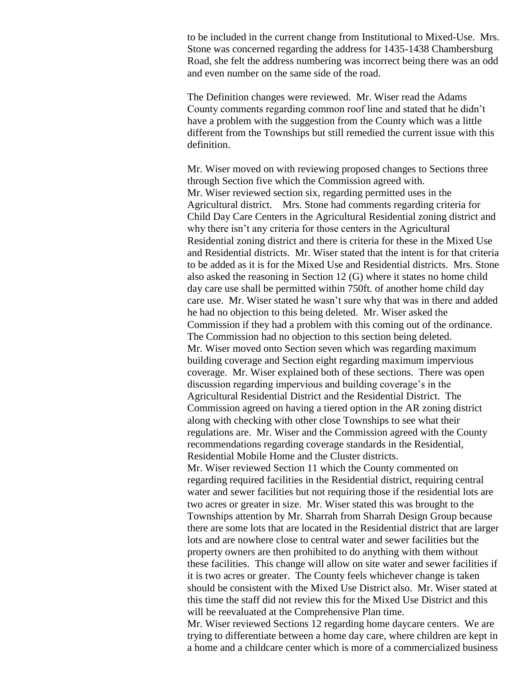to be included in the current change from Institutional to Mixed-Use. Mrs. Stone was concerned regarding the address for 1435-1438 Chambersburg Road, she felt the address numbering was incorrect being there was an odd and even number on the same side of the road.

The Definition changes were reviewed. Mr. Wiser read the Adams County comments regarding common roof line and stated that he didn't have a problem with the suggestion from the County which was a little different from the Townships but still remedied the current issue with this definition.

Mr. Wiser moved on with reviewing proposed changes to Sections three through Section five which the Commission agreed with. Mr. Wiser reviewed section six, regarding permitted uses in the Agricultural district. Mrs. Stone had comments regarding criteria for Child Day Care Centers in the Agricultural Residential zoning district and why there isn't any criteria for those centers in the Agricultural Residential zoning district and there is criteria for these in the Mixed Use and Residential districts. Mr. Wiser stated that the intent is for that criteria to be added as it is for the Mixed Use and Residential districts. Mrs. Stone also asked the reasoning in Section 12 (G) where it states no home child day care use shall be permitted within 750ft. of another home child day care use. Mr. Wiser stated he wasn't sure why that was in there and added he had no objection to this being deleted. Mr. Wiser asked the Commission if they had a problem with this coming out of the ordinance. The Commission had no objection to this section being deleted. Mr. Wiser moved onto Section seven which was regarding maximum building coverage and Section eight regarding maximum impervious coverage. Mr. Wiser explained both of these sections. There was open discussion regarding impervious and building coverage's in the Agricultural Residential District and the Residential District. The Commission agreed on having a tiered option in the AR zoning district along with checking with other close Townships to see what their regulations are. Mr. Wiser and the Commission agreed with the County recommendations regarding coverage standards in the Residential, Residential Mobile Home and the Cluster districts.

Mr. Wiser reviewed Section 11 which the County commented on regarding required facilities in the Residential district, requiring central water and sewer facilities but not requiring those if the residential lots are two acres or greater in size. Mr. Wiser stated this was brought to the Townships attention by Mr. Sharrah from Sharrah Design Group because there are some lots that are located in the Residential district that are larger lots and are nowhere close to central water and sewer facilities but the property owners are then prohibited to do anything with them without these facilities. This change will allow on site water and sewer facilities if it is two acres or greater. The County feels whichever change is taken should be consistent with the Mixed Use District also. Mr. Wiser stated at this time the staff did not review this for the Mixed Use District and this will be reevaluated at the Comprehensive Plan time.

Mr. Wiser reviewed Sections 12 regarding home daycare centers. We are trying to differentiate between a home day care, where children are kept in a home and a childcare center which is more of a commercialized business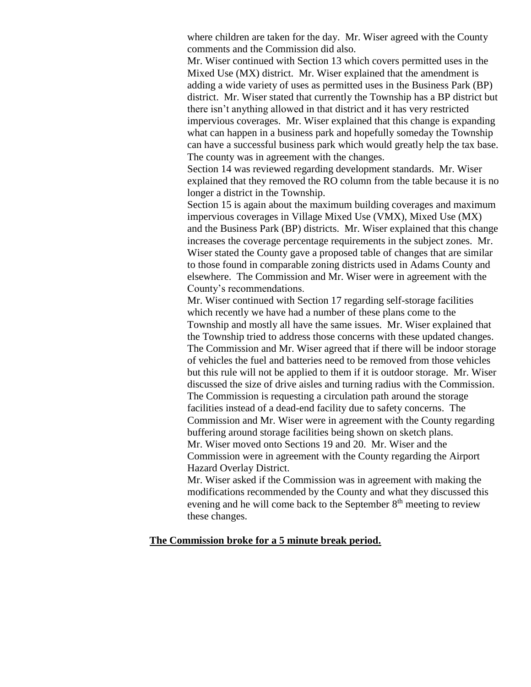where children are taken for the day. Mr. Wiser agreed with the County comments and the Commission did also.

Mr. Wiser continued with Section 13 which covers permitted uses in the Mixed Use (MX) district. Mr. Wiser explained that the amendment is adding a wide variety of uses as permitted uses in the Business Park (BP) district. Mr. Wiser stated that currently the Township has a BP district but there isn't anything allowed in that district and it has very restricted impervious coverages. Mr. Wiser explained that this change is expanding what can happen in a business park and hopefully someday the Township can have a successful business park which would greatly help the tax base. The county was in agreement with the changes.

Section 14 was reviewed regarding development standards. Mr. Wiser explained that they removed the RO column from the table because it is no longer a district in the Township.

Section 15 is again about the maximum building coverages and maximum impervious coverages in Village Mixed Use (VMX), Mixed Use (MX) and the Business Park (BP) districts. Mr. Wiser explained that this change increases the coverage percentage requirements in the subject zones. Mr. Wiser stated the County gave a proposed table of changes that are similar to those found in comparable zoning districts used in Adams County and elsewhere. The Commission and Mr. Wiser were in agreement with the County's recommendations.

Mr. Wiser continued with Section 17 regarding self-storage facilities which recently we have had a number of these plans come to the Township and mostly all have the same issues. Mr. Wiser explained that the Township tried to address those concerns with these updated changes. The Commission and Mr. Wiser agreed that if there will be indoor storage of vehicles the fuel and batteries need to be removed from those vehicles but this rule will not be applied to them if it is outdoor storage. Mr. Wiser discussed the size of drive aisles and turning radius with the Commission. The Commission is requesting a circulation path around the storage facilities instead of a dead-end facility due to safety concerns. The Commission and Mr. Wiser were in agreement with the County regarding buffering around storage facilities being shown on sketch plans. Mr. Wiser moved onto Sections 19 and 20. Mr. Wiser and the Commission were in agreement with the County regarding the Airport Hazard Overlay District.

Mr. Wiser asked if the Commission was in agreement with making the modifications recommended by the County and what they discussed this evening and he will come back to the September 8<sup>th</sup> meeting to review these changes.

## **The Commission broke for a 5 minute break period.**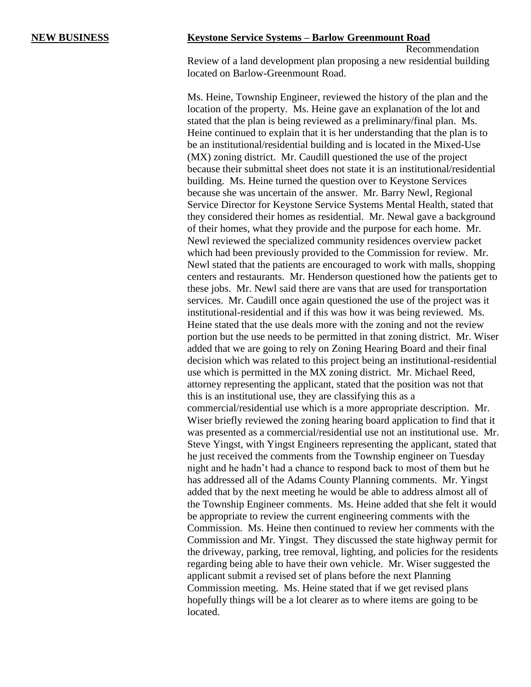### **NEW BUSINESS Keystone Service Systems – Barlow Greenmount Road**

Recommendation Review of a land development plan proposing a new residential building located on Barlow-Greenmount Road.

Ms. Heine, Township Engineer, reviewed the history of the plan and the location of the property. Ms. Heine gave an explanation of the lot and stated that the plan is being reviewed as a preliminary/final plan. Ms. Heine continued to explain that it is her understanding that the plan is to be an institutional/residential building and is located in the Mixed-Use (MX) zoning district. Mr. Caudill questioned the use of the project because their submittal sheet does not state it is an institutional/residential building. Ms. Heine turned the question over to Keystone Services because she was uncertain of the answer. Mr. Barry Newl, Regional Service Director for Keystone Service Systems Mental Health, stated that they considered their homes as residential. Mr. Newal gave a background of their homes, what they provide and the purpose for each home. Mr. Newl reviewed the specialized community residences overview packet which had been previously provided to the Commission for review. Mr. Newl stated that the patients are encouraged to work with malls, shopping centers and restaurants. Mr. Henderson questioned how the patients get to these jobs. Mr. Newl said there are vans that are used for transportation services. Mr. Caudill once again questioned the use of the project was it institutional-residential and if this was how it was being reviewed. Ms. Heine stated that the use deals more with the zoning and not the review portion but the use needs to be permitted in that zoning district. Mr. Wiser added that we are going to rely on Zoning Hearing Board and their final decision which was related to this project being an institutional-residential use which is permitted in the MX zoning district. Mr. Michael Reed, attorney representing the applicant, stated that the position was not that this is an institutional use, they are classifying this as a commercial/residential use which is a more appropriate description. Mr. Wiser briefly reviewed the zoning hearing board application to find that it was presented as a commercial/residential use not an institutional use. Mr. Steve Yingst, with Yingst Engineers representing the applicant, stated that he just received the comments from the Township engineer on Tuesday night and he hadn't had a chance to respond back to most of them but he has addressed all of the Adams County Planning comments. Mr. Yingst added that by the next meeting he would be able to address almost all of the Township Engineer comments. Ms. Heine added that she felt it would be appropriate to review the current engineering comments with the Commission. Ms. Heine then continued to review her comments with the Commission and Mr. Yingst. They discussed the state highway permit for the driveway, parking, tree removal, lighting, and policies for the residents regarding being able to have their own vehicle. Mr. Wiser suggested the applicant submit a revised set of plans before the next Planning Commission meeting. Ms. Heine stated that if we get revised plans hopefully things will be a lot clearer as to where items are going to be located.